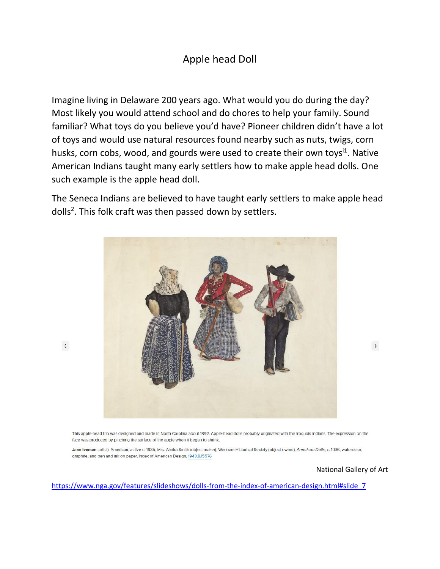## Apple head Doll

Imagine living in Delaware 200 years ago. What would you do during the day? Most likely you would attend school and do chores to help your family. Sound familiar? What toys do you believe you'd have? Pioneer children didn't have a lot of toys and would use natural resources found nearby such as nuts, twigs, corn husks, corn cobs, wood, and gourds were used to create their own toys<sup>i1</sup>. Native American Indians taught many early settlers how to make apple head dolls. One such example is the apple head doll.

The Seneca Indians are believed to have taught early settlers to make apple head dolls<sup>2</sup>. This folk craft was then passed down by settlers.



This apple-head trio was designed and made in North Carolina about 1892. Apple-head dolls probably originated with the Iroquois Indians. The expression on the face was produced by pinching the surface of the apple when it began to shrink.

Jane Iverson (artist), American, active c. 1935, Mrs. Almira Smith (object maker), Wenham Historical Society (object owner), American Dolls, c. 1936, watercolor, graphite, and pen and ink on paper, Index of American Design, 1943.8.15576

## National Gallery of Art

 $\rightarrow$ 

[https://www.nga.gov/features/slideshows/dolls-from-the-index-of-american-design.html#slide\\_7](https://www.nga.gov/features/slideshows/dolls-from-the-index-of-american-design.html#slide_7)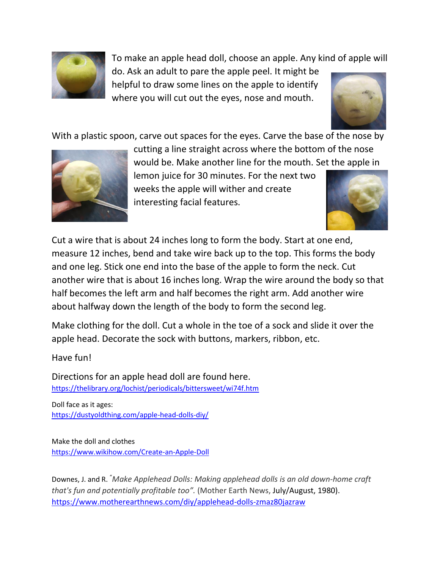

To make an apple head doll, choose an apple. Any kind of apple will

do. Ask an adult to pare the apple peel. It might be helpful to draw some lines on the apple to identify where you will cut out the eyes, nose and mouth.



With a plastic spoon, carve out spaces for the eyes. Carve the base of the nose by



cutting a line straight across where the bottom of the nose would be. Make another line for the mouth. Set the apple in

lemon juice for 30 minutes. For the next two weeks the apple will wither and create interesting facial features.



Cut a wire that is about 24 inches long to form the body. Start at one end, measure 12 inches, bend and take wire back up to the top. This forms the body and one leg. Stick one end into the base of the apple to form the neck. Cut another wire that is about 16 inches long. Wrap the wire around the body so that half becomes the left arm and half becomes the right arm. Add another wire about halfway down the length of the body to form the second leg.

Make clothing for the doll. Cut a whole in the toe of a sock and slide it over the apple head. Decorate the sock with buttons, markers, ribbon, etc.

Have fun!

Directions for an apple head doll are found here. <https://thelibrary.org/lochist/periodicals/bittersweet/wi74f.htm>

Doll face as it ages: <https://dustyoldthing.com/apple-head-dolls-diy/>

Make the doll and clothes <https://www.wikihow.com/Create-an-Apple-Doll>

Downes, J. and R. "*Make Applehead Dolls: Making applehead dolls is an old down-home craft that's fun and potentially profitable too".* (Mother Earth News, July/August, 1980). <https://www.motherearthnews.com/diy/applehead-dolls-zmaz80jazraw>